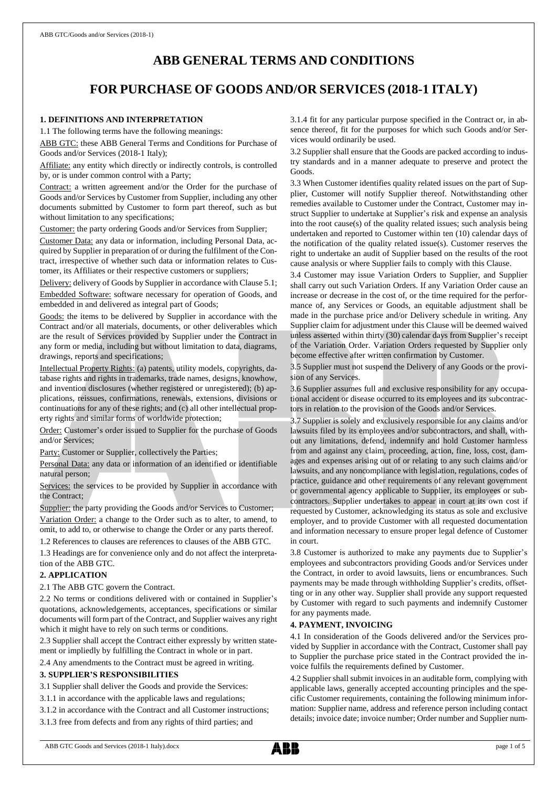# **ABB GENERAL TERMS AND CONDITIONS**

# **FOR PURCHASE OF GOODS AND/OR SERVICES (2018-1 ITALY)**

## **1. DEFINITIONS AND INTERPRETATION**

1.1 The following terms have the following meanings:

ABB GTC: these ABB General Terms and Conditions for Purchase of Goods and/or Services (2018-1 Italy);

Affiliate: any entity which directly or indirectly controls, is controlled by, or is under common control with a Party;

Contract: a written agreement and/or the Order for the purchase of Goods and/or Services by Customer from Supplier, including any other documents submitted by Customer to form part thereof, such as but without limitation to any specifications;

Customer: the party ordering Goods and/or Services from Supplier;

Customer Data: any data or information, including Personal Data, acquired by Supplier in preparation of or during the fulfilment of the Contract, irrespective of whether such data or information relates to Customer, its Affiliates or their respective customers or suppliers;

Delivery: delivery of Goods by Supplier in accordance with Clause 5.1; Embedded Software: software necessary for operation of Goods, and embedded in and delivered as integral part of Goods;

Goods: the items to be delivered by Supplier in accordance with the Contract and/or all materials, documents, or other deliverables which are the result of Services provided by Supplier under the Contract in any form or media, including but without limitation to data, diagrams, drawings, reports and specifications;

Intellectual Property Rights: (a) patents, utility models, copyrights, database rights and rights in trademarks, trade names, designs, knowhow, and invention disclosures (whether registered or unregistered); (b) applications, reissues, confirmations, renewals, extensions, divisions or continuations for any of these rights; and (c) all other intellectual property rights and similar forms of worldwide protection;

Order: Customer's order issued to Supplier for the purchase of Goods and/or Services;

Party: Customer or Supplier, collectively the Parties;

Personal Data: any data or information of an identified or identifiable natural person;

Services: the services to be provided by Supplier in accordance with the Contract;

Supplier: the party providing the Goods and/or Services to Customer; Variation Order: a change to the Order such as to alter, to amend, to omit, to add to, or otherwise to change the Order or any parts thereof.

1.2 References to clauses are references to clauses of the ABB GTC. 1.3 Headings are for convenience only and do not affect the interpreta-

#### tion of the ABB GTC. **2. APPLICATION**

2.1 The ABB GTC govern the Contract.

2.2 No terms or conditions delivered with or contained in Supplier's quotations, acknowledgements, acceptances, specifications or similar documents will form part of the Contract, and Supplier waives any right which it might have to rely on such terms or conditions.

2.3 Supplier shall accept the Contract either expressly by written statement or impliedly by fulfilling the Contract in whole or in part.

2.4 Any amendments to the Contract must be agreed in writing.

#### **3. SUPPLIER'S RESPONSIBILITIES**

3.1 Supplier shall deliver the Goods and provide the Services:

3.1.1 in accordance with the applicable laws and regulations;

3.1.2 in accordance with the Contract and all Customer instructions;

3.1.3 free from defects and from any rights of third parties; and

3.1.4 fit for any particular purpose specified in the Contract or, in absence thereof, fit for the purposes for which such Goods and/or Services would ordinarily be used.

3.2 Supplier shall ensure that the Goods are packed according to industry standards and in a manner adequate to preserve and protect the Goods.

3.3 When Customer identifies quality related issues on the part of Supplier, Customer will notify Supplier thereof. Notwithstanding other remedies available to Customer under the Contract, Customer may instruct Supplier to undertake at Supplier's risk and expense an analysis into the root cause(s) of the quality related issues; such analysis being undertaken and reported to Customer within ten (10) calendar days of the notification of the quality related issue(s). Customer reserves the right to undertake an audit of Supplier based on the results of the root cause analysis or where Supplier fails to comply with this Clause.

3.4 Customer may issue Variation Orders to Supplier, and Supplier shall carry out such Variation Orders. If any Variation Order cause an increase or decrease in the cost of, or the time required for the performance of, any Services or Goods, an equitable adjustment shall be made in the purchase price and/or Delivery schedule in writing. Any Supplier claim for adjustment under this Clause will be deemed waived unless asserted within thirty (30) calendar days from Supplier's receipt of the Variation Order. Variation Orders requested by Supplier only become effective after written confirmation by Customer.

3.5 Supplier must not suspend the Delivery of any Goods or the provision of any Services.

3.6 Supplier assumes full and exclusive responsibility for any occupational accident or disease occurred to its employees and its subcontractors in relation to the provision of the Goods and/or Services.

3.7 Supplier is solely and exclusively responsible for any claims and/or lawsuits filed by its employees and/or subcontractors, and shall, without any limitations, defend, indemnify and hold Customer harmless from and against any claim, proceeding, action, fine, loss, cost, damages and expenses arising out of or relating to any such claims and/or lawsuits, and any noncompliance with legislation, regulations, codes of practice, guidance and other requirements of any relevant government or governmental agency applicable to Supplier, its employees or subcontractors. Supplier undertakes to appear in court at its own cost if requested by Customer, acknowledging its status as sole and exclusive employer, and to provide Customer with all requested documentation and information necessary to ensure proper legal defence of Customer in court.

3.8 Customer is authorized to make any payments due to Supplier's employees and subcontractors providing Goods and/or Services under the Contract, in order to avoid lawsuits, liens or encumbrances. Such payments may be made through withholding Supplier's credits, offsetting or in any other way. Supplier shall provide any support requested by Customer with regard to such payments and indemnify Customer for any payments made.

## **4. PAYMENT, INVOICING**

4.1 In consideration of the Goods delivered and/or the Services provided by Supplier in accordance with the Contract, Customer shall pay to Supplier the purchase price stated in the Contract provided the invoice fulfils the requirements defined by Customer.

4.2 Supplier shall submit invoices in an auditable form, complying with applicable laws, generally accepted accounting principles and the specific Customer requirements, containing the following minimum information: Supplier name, address and reference person including contact details; invoice date; invoice number; Order number and Supplier num-

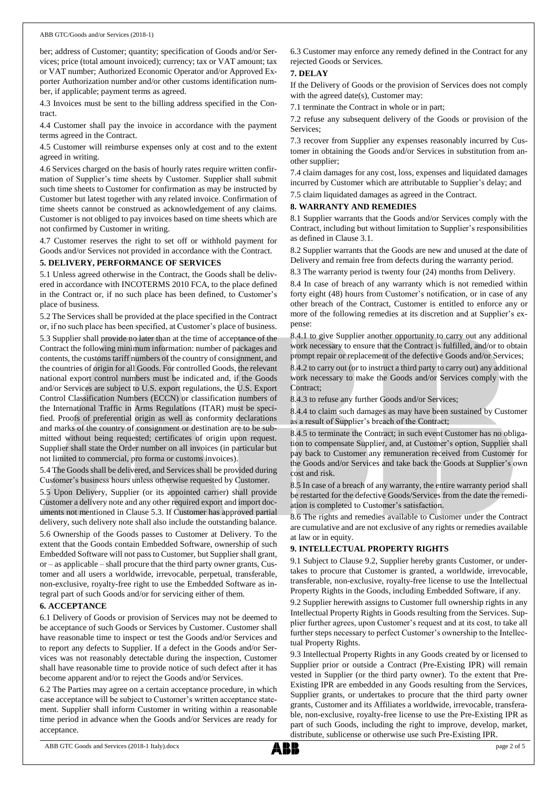ber; address of Customer; quantity; specification of Goods and/or Services; price (total amount invoiced); currency; tax or VAT amount; tax or VAT number; Authorized Economic Operator and/or Approved Exporter Authorization number and/or other customs identification number, if applicable; payment terms as agreed.

4.3 Invoices must be sent to the billing address specified in the Contract.

4.4 Customer shall pay the invoice in accordance with the payment terms agreed in the Contract.

4.5 Customer will reimburse expenses only at cost and to the extent agreed in writing.

4.6 Services charged on the basis of hourly rates require written confirmation of Supplier's time sheets by Customer. Supplier shall submit such time sheets to Customer for confirmation as may be instructed by Customer but latest together with any related invoice. Confirmation of time sheets cannot be construed as acknowledgement of any claims. Customer is not obliged to pay invoices based on time sheets which are not confirmed by Customer in writing.

4.7 Customer reserves the right to set off or withhold payment for Goods and/or Services not provided in accordance with the Contract.

#### **5. DELIVERY, PERFORMANCE OF SERVICES**

5.1 Unless agreed otherwise in the Contract, the Goods shall be delivered in accordance with INCOTERMS 2010 FCA, to the place defined in the Contract or, if no such place has been defined, to Customer's place of business.

5.2 The Services shall be provided at the place specified in the Contract or, if no such place has been specified, at Customer's place of business.

5.3 Supplier shall provide no later than at the time of acceptance of the Contract the following minimum information: number of packages and contents, the customs tariff numbers of the country of consignment, and the countries of origin for all Goods. For controlled Goods, the relevant national export control numbers must be indicated and, if the Goods and/or Services are subject to U.S. export regulations, the U.S. Export Control Classification Numbers (ECCN) or classification numbers of the International Traffic in Arms Regulations (ITAR) must be specified. Proofs of preferential origin as well as conformity declarations and marks of the country of consignment or destination are to be submitted without being requested; certificates of origin upon request. Supplier shall state the Order number on all invoices (in particular but not limited to commercial, pro forma or customs invoices).

5.4 The Goods shall be delivered, and Services shall be provided during Customer's business hours unless otherwise requested by Customer.

5.5 Upon Delivery, Supplier (or its appointed carrier) shall provide Customer a delivery note and any other required export and import documents not mentioned in Clause 5.3. If Customer has approved partial delivery, such delivery note shall also include the outstanding balance.

5.6 Ownership of the Goods passes to Customer at Delivery. To the extent that the Goods contain Embedded Software, ownership of such Embedded Software will not passto Customer, but Supplier shall grant, or – as applicable – shall procure that the third party owner grants, Customer and all users a worldwide, irrevocable, perpetual, transferable, non-exclusive, royalty-free right to use the Embedded Software as integral part of such Goods and/or for servicing either of them.

#### **6. ACCEPTANCE**

6.1 Delivery of Goods or provision of Services may not be deemed to be acceptance of such Goods or Services by Customer. Customer shall have reasonable time to inspect or test the Goods and/or Services and to report any defects to Supplier. If a defect in the Goods and/or Services was not reasonably detectable during the inspection, Customer shall have reasonable time to provide notice of such defect after it has become apparent and/or to reject the Goods and/or Services.

6.2 The Parties may agree on a certain acceptance procedure, in which case acceptance will be subject to Customer's written acceptance statement. Supplier shall inform Customer in writing within a reasonable time period in advance when the Goods and/or Services are ready for acceptance.

6.3 Customer may enforce any remedy defined in the Contract for any rejected Goods or Services.

### **7. DELAY**

If the Delivery of Goods or the provision of Services does not comply with the agreed date(s), Customer may:

7.1 terminate the Contract in whole or in part;

7.2 refuse any subsequent delivery of the Goods or provision of the Services;

7.3 recover from Supplier any expenses reasonably incurred by Customer in obtaining the Goods and/or Services in substitution from another supplier;

7.4 claim damages for any cost, loss, expenses and liquidated damages incurred by Customer which are attributable to Supplier's delay; and

7.5 claim liquidated damages as agreed in the Contract.

#### **8. WARRANTY AND REMEDIES**

8.1 Supplier warrants that the Goods and/or Services comply with the Contract, including but without limitation to Supplier's responsibilities as defined in Clause 3.1.

8.2 Supplier warrants that the Goods are new and unused at the date of Delivery and remain free from defects during the warranty period.

8.3 The warranty period is twenty four (24) months from Delivery.

8.4 In case of breach of any warranty which is not remedied within forty eight (48) hours from Customer's notification, or in case of any other breach of the Contract, Customer is entitled to enforce any or more of the following remedies at its discretion and at Supplier's expense:

8.4.1 to give Supplier another opportunity to carry out any additional work necessary to ensure that the Contract is fulfilled, and/or to obtain prompt repair or replacement of the defective Goods and/or Services;

8.4.2 to carry out (or to instruct a third party to carry out) any additional work necessary to make the Goods and/or Services comply with the Contract;

8.4.3 to refuse any further Goods and/or Services;

8.4.4 to claim such damages as may have been sustained by Customer as a result of Supplier's breach of the Contract;

8.4.5 to terminate the Contract; in such event Customer has no obligation to compensate Supplier, and, at Customer's option, Supplier shall pay back to Customer any remuneration received from Customer for the Goods and/or Services and take back the Goods at Supplier's own cost and risk.

8.5 In case of a breach of any warranty, the entire warranty period shall be restarted for the defective Goods/Services from the date the remediation is completed to Customer's satisfaction.

8.6 The rights and remedies available to Customer under the Contract are cumulative and are not exclusive of any rights or remedies available at law or in equity.

#### **9. INTELLECTUAL PROPERTY RIGHTS**

9.1 Subject to Clause 9.2, Supplier hereby grants Customer, or undertakes to procure that Customer is granted, a worldwide, irrevocable, transferable, non-exclusive, royalty-free license to use the Intellectual Property Rights in the Goods, including Embedded Software, if any.

9.2 Supplier herewith assigns to Customer full ownership rights in any Intellectual Property Rights in Goods resulting from the Services. Supplier further agrees, upon Customer's request and at its cost, to take all further steps necessary to perfect Customer's ownership to the Intellectual Property Rights.

9.3 Intellectual Property Rights in any Goods created by or licensed to Supplier prior or outside a Contract (Pre-Existing IPR) will remain vested in Supplier (or the third party owner). To the extent that Pre-Existing IPR are embedded in any Goods resulting from the Services, Supplier grants, or undertakes to procure that the third party owner grants, Customer and its Affiliates a worldwide, irrevocable, transferable, non-exclusive, royalty-free license to use the Pre-Existing IPR as part of such Goods, including the right to improve, develop, market, distribute, sublicense or otherwise use such Pre-Existing IPR.

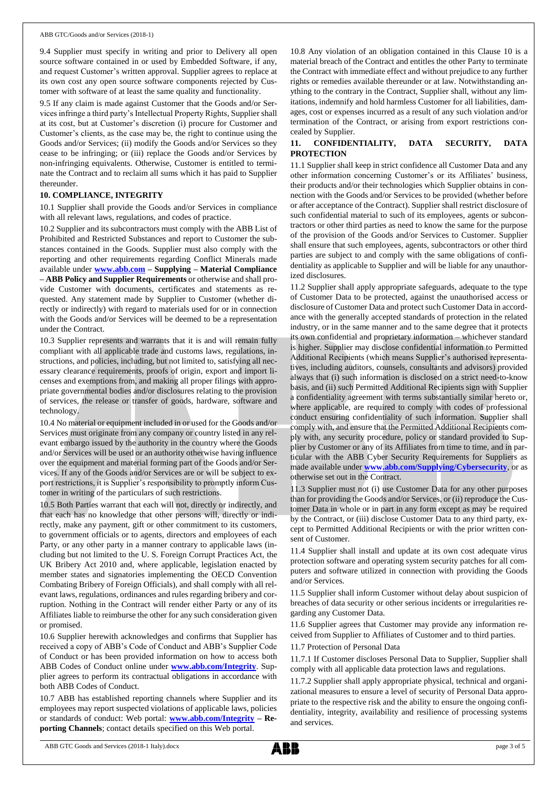9.4 Supplier must specify in writing and prior to Delivery all open source software contained in or used by Embedded Software, if any, and request Customer's written approval. Supplier agrees to replace at its own cost any open source software components rejected by Customer with software of at least the same quality and functionality.

9.5 If any claim is made against Customer that the Goods and/or Services infringe a third party's Intellectual Property Rights, Supplier shall at its cost, but at Customer's discretion (i) procure for Customer and Customer's clients, as the case may be, the right to continue using the Goods and/or Services; (ii) modify the Goods and/or Services so they cease to be infringing; or (iii) replace the Goods and/or Services by non-infringing equivalents. Otherwise, Customer is entitled to terminate the Contract and to reclaim all sums which it has paid to Supplier thereunder.

#### **10. COMPLIANCE, INTEGRITY**

10.1 Supplier shall provide the Goods and/or Services in compliance with all relevant laws, regulations, and codes of practice.

10.2 Supplier and its subcontractors must comply with the ABB List of Prohibited and Restricted Substances and report to Customer the substances contained in the Goods. Supplier must also comply with the reporting and other requirements regarding Conflict Minerals made available under **[www.abb.com](http://www.abb.com/) – Supplying – Material Compliance – ABB Policy and Supplier Requirements** or otherwise and shall provide Customer with documents, certificates and statements as requested. Any statement made by Supplier to Customer (whether directly or indirectly) with regard to materials used for or in connection with the Goods and/or Services will be deemed to be a representation under the Contract.

10.3 Supplier represents and warrants that it is and will remain fully compliant with all applicable trade and customs laws, regulations, instructions, and policies, including, but not limited to, satisfying all necessary clearance requirements, proofs of origin, export and import licenses and exemptions from, and making all proper filings with appropriate governmental bodies and/or disclosures relating to the provision of services, the release or transfer of goods, hardware, software and technology.

10.4 No material or equipment included in or used for the Goods and/or Services must originate from any company or country listed in any relevant embargo issued by the authority in the country where the Goods and/or Services will be used or an authority otherwise having influence over the equipment and material forming part of the Goods and/or Services. If any of the Goods and/or Services are or will be subject to export restrictions, it is Supplier's responsibility to promptly inform Customer in writing of the particulars of such restrictions.

10.5 Both Parties warrant that each will not, directly or indirectly, and that each has no knowledge that other persons will, directly or indirectly, make any payment, gift or other commitment to its customers, to government officials or to agents, directors and employees of each Party, or any other party in a manner contrary to applicable laws (including but not limited to the U. S. Foreign Corrupt Practices Act, the UK Bribery Act 2010 and, where applicable, legislation enacted by member states and signatories implementing the OECD Convention Combating Bribery of Foreign Officials), and shall comply with all relevant laws, regulations, ordinances and rules regarding bribery and corruption. Nothing in the Contract will render either Party or any of its Affiliates liable to reimburse the other for any such consideration given or promised.

10.6 Supplier herewith acknowledges and confirms that Supplier has received a copy of ABB's Code of Conduct and ABB's Supplier Code of Conduct or has been provided information on how to access both ABB Codes of Conduct online under **[www.abb.com/Integrity](http://www.abb.com/Integrity)**. Supplier agrees to perform its contractual obligations in accordance with both ABB Codes of Conduct.

10.7 ABB has established reporting channels where Supplier and its employees may report suspected violations of applicable laws, policies or standards of conduct: Web portal: **[www.abb.com/Integrity](http://www.abb.com/Integrity) – Reporting Channels**; contact details specified on this Web portal.

10.8 Any violation of an obligation contained in this Clause 10 is a material breach of the Contract and entitles the other Party to terminate the Contract with immediate effect and without prejudice to any further rights or remedies available thereunder or at law. Notwithstanding anything to the contrary in the Contract, Supplier shall, without any limitations, indemnify and hold harmless Customer for all liabilities, damages, cost or expenses incurred as a result of any such violation and/or termination of the Contract, or arising from export restrictions concealed by Supplier.

## **11. CONFIDENTIALITY, DATA SECURITY, DATA PROTECTION**

11.1 Supplier shall keep in strict confidence all Customer Data and any other information concerning Customer's or its Affiliates' business, their products and/or their technologies which Supplier obtains in connection with the Goods and/or Services to be provided (whether before or after acceptance of the Contract). Supplier shall restrict disclosure of such confidential material to such of its employees, agents or subcontractors or other third parties as need to know the same for the purpose of the provision of the Goods and/or Services to Customer. Supplier shall ensure that such employees, agents, subcontractors or other third parties are subject to and comply with the same obligations of confidentiality as applicable to Supplier and will be liable for any unauthorized disclosures.

11.2 Supplier shall apply appropriate safeguards, adequate to the type of Customer Data to be protected, against the unauthorised access or disclosure of Customer Data and protect such Customer Data in accordance with the generally accepted standards of protection in the related industry, or in the same manner and to the same degree that it protects its own confidential and proprietary information – whichever standard is higher. Supplier may disclose confidential information to Permitted Additional Recipients (which means Supplier's authorised representatives, including auditors, counsels, consultants and advisors) provided always that (i) such information is disclosed on a strict need-to-know basis, and (ii) such Permitted Additional Recipients sign with Supplier a confidentiality agreement with terms substantially similar hereto or, where applicable, are required to comply with codes of professional conduct ensuring confidentiality of such information. Supplier shall comply with, and ensure that the Permitted Additional Recipients comply with, any security procedure, policy or standard provided to Supplier by Customer or any of its Affiliates from time to time, and in particular with the ABB Cyber Security Requirements for Suppliers as made available under **[www.abb.com/Supplying/Cybersecurity](http://www.abb.com/Supplying/Cybersecurity)**, or as otherwise set out in the Contract.

11.3 Supplier must not (i) use Customer Data for any other purposes than for providing the Goods and/or Services, or (ii) reproduce the Customer Data in whole or in part in any form except as may be required by the Contract, or (iii) disclose Customer Data to any third party, except to Permitted Additional Recipients or with the prior written consent of Customer.

11.4 Supplier shall install and update at its own cost adequate virus protection software and operating system security patches for all computers and software utilized in connection with providing the Goods and/or Services.

11.5 Supplier shall inform Customer without delay about suspicion of breaches of data security or other serious incidents or irregularities regarding any Customer Data.

11.6 Supplier agrees that Customer may provide any information received from Supplier to Affiliates of Customer and to third parties.

11.7 Protection of Personal Data

11.7.1 If Customer discloses Personal Data to Supplier, Supplier shall comply with all applicable data protection laws and regulations.

11.7.2 Supplier shall apply appropriate physical, technical and organizational measures to ensure a level of security of Personal Data appropriate to the respective risk and the ability to ensure the ongoing confidentiality, integrity, availability and resilience of processing systems and services.

ABB GTC Goods and Services (2018-1 Italy).docx page 3 of 5

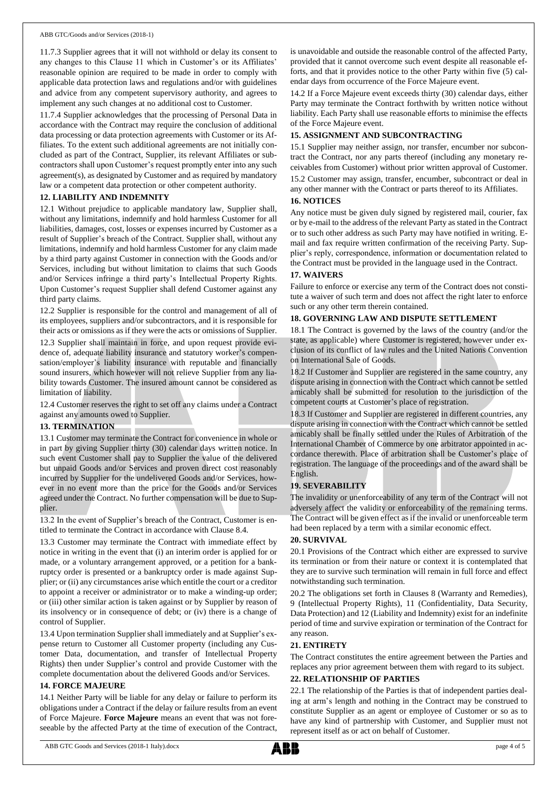11.7.3 Supplier agrees that it will not withhold or delay its consent to any changes to this Clause 11 which in Customer's or its Affiliates' reasonable opinion are required to be made in order to comply with applicable data protection laws and regulations and/or with guidelines and advice from any competent supervisory authority, and agrees to implement any such changes at no additional cost to Customer.

11.7.4 Supplier acknowledges that the processing of Personal Data in accordance with the Contract may require the conclusion of additional data processing or data protection agreements with Customer or its Affiliates. To the extent such additional agreements are not initially concluded as part of the Contract, Supplier, its relevant Affiliates or subcontractors shall upon Customer's request promptly enter into any such agreement(s), as designated by Customer and as required by mandatory law or a competent data protection or other competent authority.

## **12. LIABILITY AND INDEMNITY**

12.1 Without prejudice to applicable mandatory law, Supplier shall, without any limitations, indemnify and hold harmless Customer for all liabilities, damages, cost, losses or expenses incurred by Customer as a result of Supplier's breach of the Contract. Supplier shall, without any limitations, indemnify and hold harmless Customer for any claim made by a third party against Customer in connection with the Goods and/or Services, including but without limitation to claims that such Goods and/or Services infringe a third party's Intellectual Property Rights. Upon Customer's request Supplier shall defend Customer against any third party claims.

12.2 Supplier is responsible for the control and management of all of its employees, suppliers and/or subcontractors, and it is responsible for their acts or omissions as if they were the acts or omissions of Supplier.

12.3 Supplier shall maintain in force, and upon request provide evidence of, adequate liability insurance and statutory worker's compensation/employer's liability insurance with reputable and financially sound insurers, which however will not relieve Supplier from any liability towards Customer. The insured amount cannot be considered as limitation of liability.

12.4 Customer reserves the right to set off any claims under a Contract against any amounts owed to Supplier.

#### **13. TERMINATION**

13.1 Customer may terminate the Contract for convenience in whole or in part by giving Supplier thirty (30) calendar days written notice. In such event Customer shall pay to Supplier the value of the delivered but unpaid Goods and/or Services and proven direct cost reasonably incurred by Supplier for the undelivered Goods and/or Services, however in no event more than the price for the Goods and/or Services agreed under the Contract. No further compensation will be due to Supplier.

13.2 In the event of Supplier's breach of the Contract, Customer is entitled to terminate the Contract in accordance with Clause 8.4.

13.3 Customer may terminate the Contract with immediate effect by notice in writing in the event that (i) an interim order is applied for or made, or a voluntary arrangement approved, or a petition for a bankruptcy order is presented or a bankruptcy order is made against Supplier; or (ii) any circumstances arise which entitle the court or a creditor to appoint a receiver or administrator or to make a winding-up order; or (iii) other similar action is taken against or by Supplier by reason of its insolvency or in consequence of debt; or (iv) there is a change of control of Supplier.

13.4 Upon termination Supplier shall immediately and at Supplier's expense return to Customer all Customer property (including any Customer Data, documentation, and transfer of Intellectual Property Rights) then under Supplier's control and provide Customer with the complete documentation about the delivered Goods and/or Services.

#### **14. FORCE MAJEURE**

14.1 Neither Party will be liable for any delay or failure to perform its obligations under a Contract if the delay or failure results from an event of Force Majeure. **Force Majeure** means an event that was not foreseeable by the affected Party at the time of execution of the Contract, is unavoidable and outside the reasonable control of the affected Party, provided that it cannot overcome such event despite all reasonable efforts, and that it provides notice to the other Party within five (5) calendar days from occurrence of the Force Majeure event.

14.2 If a Force Majeure event exceeds thirty (30) calendar days, either Party may terminate the Contract forthwith by written notice without liability. Each Party shall use reasonable efforts to minimise the effects of the Force Majeure event.

### **15. ASSIGNMENT AND SUBCONTRACTING**

15.1 Supplier may neither assign, nor transfer, encumber nor subcontract the Contract, nor any parts thereof (including any monetary receivables from Customer) without prior written approval of Customer. 15.2 Customer may assign, transfer, encumber, subcontract or deal in any other manner with the Contract or parts thereof to its Affiliates.

#### **16. NOTICES**

Any notice must be given duly signed by registered mail, courier, fax or by e-mail to the address of the relevant Party as stated in the Contract or to such other address as such Party may have notified in writing. Email and fax require written confirmation of the receiving Party. Supplier's reply, correspondence, information or documentation related to the Contract must be provided in the language used in the Contract.

#### **17. WAIVERS**

Failure to enforce or exercise any term of the Contract does not constitute a waiver of such term and does not affect the right later to enforce such or any other term therein contained.

## **18. GOVERNING LAW AND DISPUTE SETTLEMENT**

18.1 The Contract is governed by the laws of the country (and/or the state, as applicable) where Customer is registered, however under exclusion of its conflict of law rules and the United Nations Convention on International Sale of Goods.

18.2 If Customer and Supplier are registered in the same country, any dispute arising in connection with the Contract which cannot be settled amicably shall be submitted for resolution to the jurisdiction of the competent courts at Customer's place of registration.

18.3 If Customer and Supplier are registered in different countries, any dispute arising in connection with the Contract which cannot be settled amicably shall be finally settled under the Rules of Arbitration of the International Chamber of Commerce by one arbitrator appointed in accordance therewith. Place of arbitration shall be Customer's place of registration. The language of the proceedings and of the award shall be English.

#### **19. SEVERABILITY**

The invalidity or unenforceability of any term of the Contract will not adversely affect the validity or enforceability of the remaining terms. The Contract will be given effect as if the invalid or unenforceable term had been replaced by a term with a similar economic effect.

#### **20. SURVIVAL**

20.1 Provisions of the Contract which either are expressed to survive its termination or from their nature or context it is contemplated that they are to survive such termination will remain in full force and effect notwithstanding such termination.

20.2 The obligations set forth in Clauses 8 (Warranty and Remedies), 9 (Intellectual Property Rights), 11 (Confidentiality, Data Security, Data Protection) and 12 (Liability and Indemnity) exist for an indefinite period of time and survive expiration or termination of the Contract for any reason.

#### **21. ENTIRETY**

The Contract constitutes the entire agreement between the Parties and replaces any prior agreement between them with regard to its subject.

## **22. RELATIONSHIP OF PARTIES**

22.1 The relationship of the Parties is that of independent parties dealing at arm's length and nothing in the Contract may be construed to constitute Supplier as an agent or employee of Customer or so as to have any kind of partnership with Customer, and Supplier must not represent itself as or act on behalf of Customer.